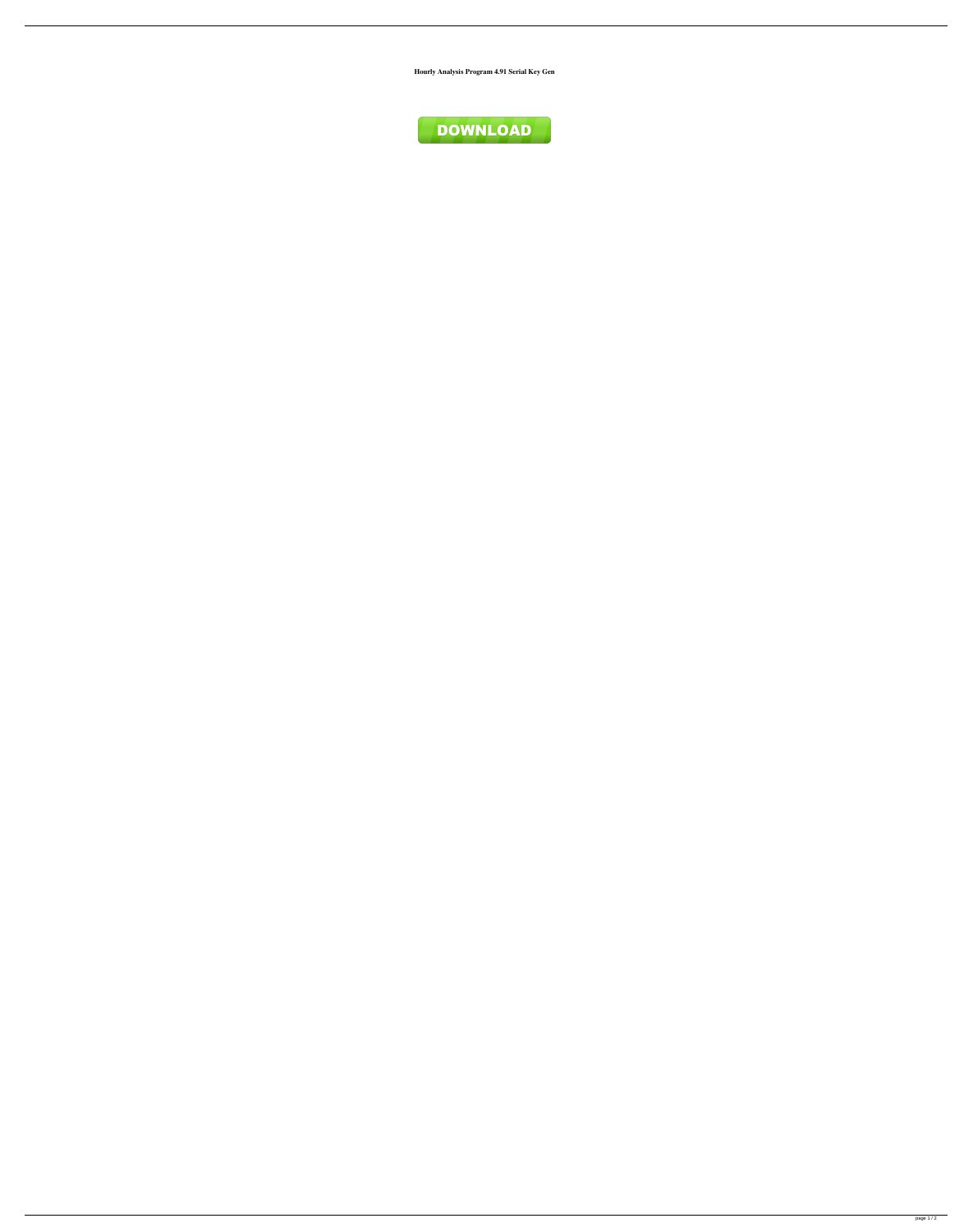**Hourly Analysis Program 4.91 Serial Key Gen**